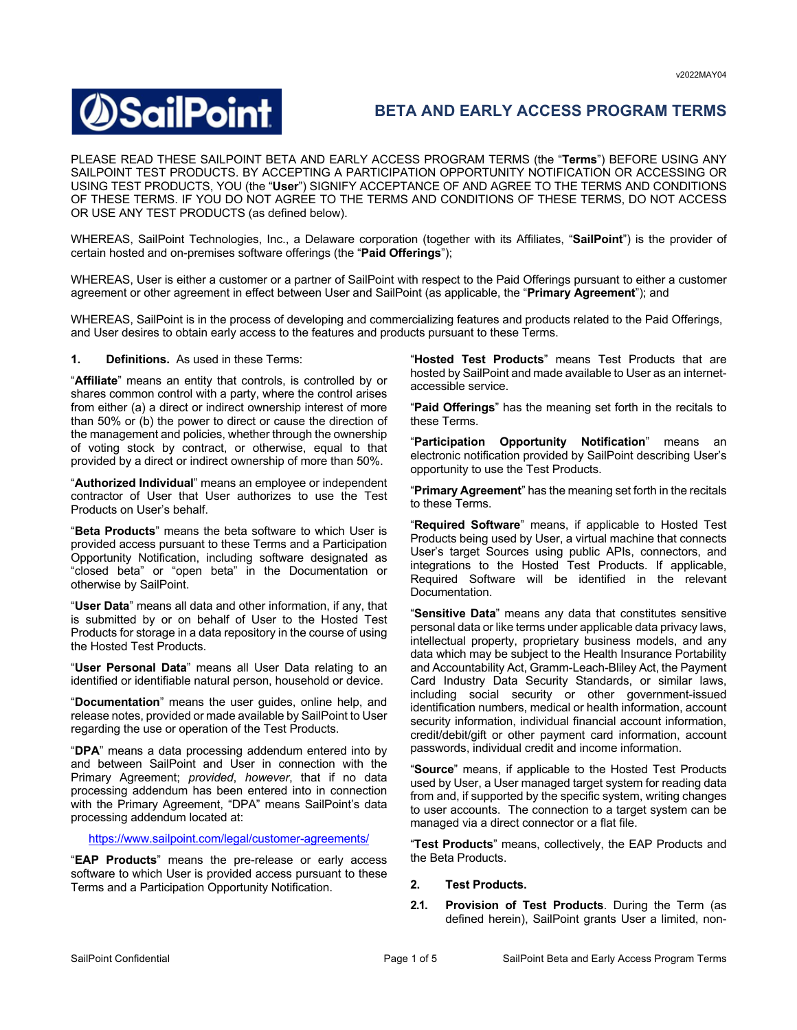# **SailPoint**

# **BETA AND EARLY ACCESS PROGRAM TERMS**

PLEASE READ THESE SAILPOINT BETA AND EARLY ACCESS PROGRAM TERMS (the "**Terms**") BEFORE USING ANY SAILPOINT TEST PRODUCTS. BY ACCEPTING A PARTICIPATION OPPORTUNITY NOTIFICATION OR ACCESSING OR USING TEST PRODUCTS, YOU (the "**User**") SIGNIFY ACCEPTANCE OF AND AGREE TO THE TERMS AND CONDITIONS OF THESE TERMS. IF YOU DO NOT AGREE TO THE TERMS AND CONDITIONS OF THESE TERMS, DO NOT ACCESS OR USE ANY TEST PRODUCTS (as defined below).

WHEREAS, SailPoint Technologies, Inc., a Delaware corporation (together with its Affiliates, "**SailPoint**") is the provider of certain hosted and on-premises software offerings (the "**Paid Offerings**");

WHEREAS, User is either a customer or a partner of SailPoint with respect to the Paid Offerings pursuant to either a customer agreement or other agreement in effect between User and SailPoint (as applicable, the "**Primary Agreement**"); and

WHEREAS, SailPoint is in the process of developing and commercializing features and products related to the Paid Offerings, and User desires to obtain early access to the features and products pursuant to these Terms.

**1. Definitions.** As used in these Terms:

"**Affiliate**" means an entity that controls, is controlled by or shares common control with a party, where the control arises from either (a) a direct or indirect ownership interest of more than 50% or (b) the power to direct or cause the direction of the management and policies, whether through the ownership of voting stock by contract, or otherwise, equal to that provided by a direct or indirect ownership of more than 50%.

"**Authorized Individual**" means an employee or independent contractor of User that User authorizes to use the Test Products on User's behalf.

"**Beta Products**" means the beta software to which User is provided access pursuant to these Terms and a Participation Opportunity Notification, including software designated as "closed beta" or "open beta" in the Documentation or otherwise by SailPoint.

"**User Data**" means all data and other information, if any, that is submitted by or on behalf of User to the Hosted Test Products for storage in a data repository in the course of using the Hosted Test Products.

"**User Personal Data**" means all User Data relating to an identified or identifiable natural person, household or device.

"**Documentation**" means the user guides, online help, and release notes, provided or made available by SailPoint to User regarding the use or operation of the Test Products.

"**DPA**" means a data processing addendum entered into by and between SailPoint and User in connection with the Primary Agreement; *provided*, *however*, that if no data processing addendum has been entered into in connection with the Primary Agreement, "DPA" means SailPoint's data processing addendum located at:

https://www.sailpoint.com/legal/customer-agreements/

"**EAP Products**" means the pre-release or early access software to which User is provided access pursuant to these Terms and a Participation Opportunity Notification.

"**Hosted Test Products**" means Test Products that are hosted by SailPoint and made available to User as an internetaccessible service.

"**Paid Offerings**" has the meaning set forth in the recitals to these Terms.

"**Participation Opportunity Notification**" means an electronic notification provided by SailPoint describing User's opportunity to use the Test Products.

"**Primary Agreement**" has the meaning set forth in the recitals to these Terms.

"**Required Software**" means, if applicable to Hosted Test Products being used by User, a virtual machine that connects User's target Sources using public APIs, connectors, and integrations to the Hosted Test Products. If applicable, Required Software will be identified in the relevant Documentation.

"**Sensitive Data**" means any data that constitutes sensitive personal data or like terms under applicable data privacy laws, intellectual property, proprietary business models, and any data which may be subject to the Health Insurance Portability and Accountability Act, Gramm-Leach-Bliley Act, the Payment Card Industry Data Security Standards, or similar laws, including social security or other government-issued identification numbers, medical or health information, account security information, individual financial account information, credit/debit/gift or other payment card information, account passwords, individual credit and income information.

"**Source**" means, if applicable to the Hosted Test Products used by User, a User managed target system for reading data from and, if supported by the specific system, writing changes to user accounts. The connection to a target system can be managed via a direct connector or a flat file.

"**Test Products**" means, collectively, the EAP Products and the Beta Products.

# **2. Test Products.**

**2.1. Provision of Test Products**. During the Term (as defined herein), SailPoint grants User a limited, non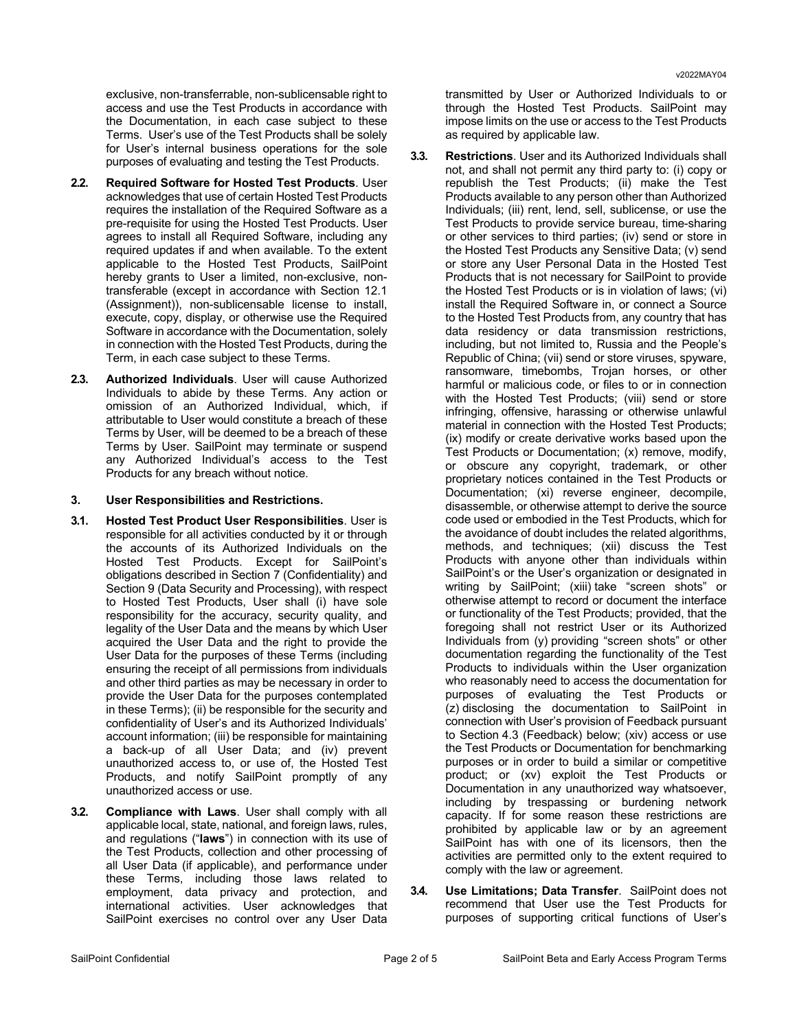exclusive, non-transferrable, non-sublicensable right to access and use the Test Products in accordance with the Documentation, in each case subject to these Terms. User's use of the Test Products shall be solely for User's internal business operations for the sole purposes of evaluating and testing the Test Products.

- **2.2. Required Software for Hosted Test Products**. User acknowledges that use of certain Hosted Test Products requires the installation of the Required Software as a pre-requisite for using the Hosted Test Products. User agrees to install all Required Software, including any required updates if and when available. To the extent applicable to the Hosted Test Products, SailPoint hereby grants to User a limited, non-exclusive, nontransferable (except in accordance with Section 12.1 (Assignment)), non-sublicensable license to install, execute, copy, display, or otherwise use the Required Software in accordance with the Documentation, solely in connection with the Hosted Test Products, during the Term, in each case subject to these Terms.
- **2.3. Authorized Individuals**. User will cause Authorized Individuals to abide by these Terms. Any action or omission of an Authorized Individual, which, if attributable to User would constitute a breach of these Terms by User, will be deemed to be a breach of these Terms by User. SailPoint may terminate or suspend any Authorized Individual's access to the Test Products for any breach without notice.

#### **3. User Responsibilities and Restrictions.**

- **3.1. Hosted Test Product User Responsibilities**. User is responsible for all activities conducted by it or through the accounts of its Authorized Individuals on the Hosted Test Products. Except for SailPoint's obligations described in Section 7 (Confidentiality) and Section 9 (Data Security and Processing), with respect to Hosted Test Products, User shall (i) have sole responsibility for the accuracy, security quality, and legality of the User Data and the means by which User acquired the User Data and the right to provide the User Data for the purposes of these Terms (including ensuring the receipt of all permissions from individuals and other third parties as may be necessary in order to provide the User Data for the purposes contemplated in these Terms); (ii) be responsible for the security and confidentiality of User's and its Authorized Individuals' account information; (iii) be responsible for maintaining a back-up of all User Data; and (iv) prevent unauthorized access to, or use of, the Hosted Test Products, and notify SailPoint promptly of any unauthorized access or use.
- **3.2. Compliance with Laws**. User shall comply with all applicable local, state, national, and foreign laws, rules, and regulations ("**laws**") in connection with its use of the Test Products, collection and other processing of all User Data (if applicable), and performance under these Terms, including those laws related to employment, data privacy and protection, and international activities. User acknowledges that SailPoint exercises no control over any User Data

transmitted by User or Authorized Individuals to or through the Hosted Test Products. SailPoint may impose limits on the use or access to the Test Products as required by applicable law.

- **3.3. Restrictions**. User and its Authorized Individuals shall not, and shall not permit any third party to: (i) copy or republish the Test Products; (ii) make the Test Products available to any person other than Authorized Individuals; (iii) rent, lend, sell, sublicense, or use the Test Products to provide service bureau, time-sharing or other services to third parties; (iv) send or store in the Hosted Test Products any Sensitive Data; (v) send or store any User Personal Data in the Hosted Test Products that is not necessary for SailPoint to provide the Hosted Test Products or is in violation of laws; (vi) install the Required Software in, or connect a Source to the Hosted Test Products from, any country that has data residency or data transmission restrictions, including, but not limited to, Russia and the People's Republic of China; (vii) send or store viruses, spyware, ransomware, timebombs, Trojan horses, or other harmful or malicious code, or files to or in connection with the Hosted Test Products; (viii) send or store infringing, offensive, harassing or otherwise unlawful material in connection with the Hosted Test Products; (ix) modify or create derivative works based upon the Test Products or Documentation; (x) remove, modify, or obscure any copyright, trademark, or other proprietary notices contained in the Test Products or Documentation; (xi) reverse engineer, decompile, disassemble, or otherwise attempt to derive the source code used or embodied in the Test Products, which for the avoidance of doubt includes the related algorithms. methods, and techniques; (xii) discuss the Test Products with anyone other than individuals within SailPoint's or the User's organization or designated in writing by SailPoint; (xiii) take "screen shots" or otherwise attempt to record or document the interface or functionality of the Test Products; provided, that the foregoing shall not restrict User or its Authorized Individuals from (y) providing "screen shots" or other documentation regarding the functionality of the Test Products to individuals within the User organization who reasonably need to access the documentation for purposes of evaluating the Test Products or (z) disclosing the documentation to SailPoint in connection with User's provision of Feedback pursuant to Section 4.3 (Feedback) below; (xiv) access or use the Test Products or Documentation for benchmarking purposes or in order to build a similar or competitive product; or (xv) exploit the Test Products or Documentation in any unauthorized way whatsoever, including by trespassing or burdening network capacity. If for some reason these restrictions are prohibited by applicable law or by an agreement SailPoint has with one of its licensors, then the activities are permitted only to the extent required to comply with the law or agreement.
- **3.4. Use Limitations; Data Transfer**. SailPoint does not recommend that User use the Test Products for purposes of supporting critical functions of User's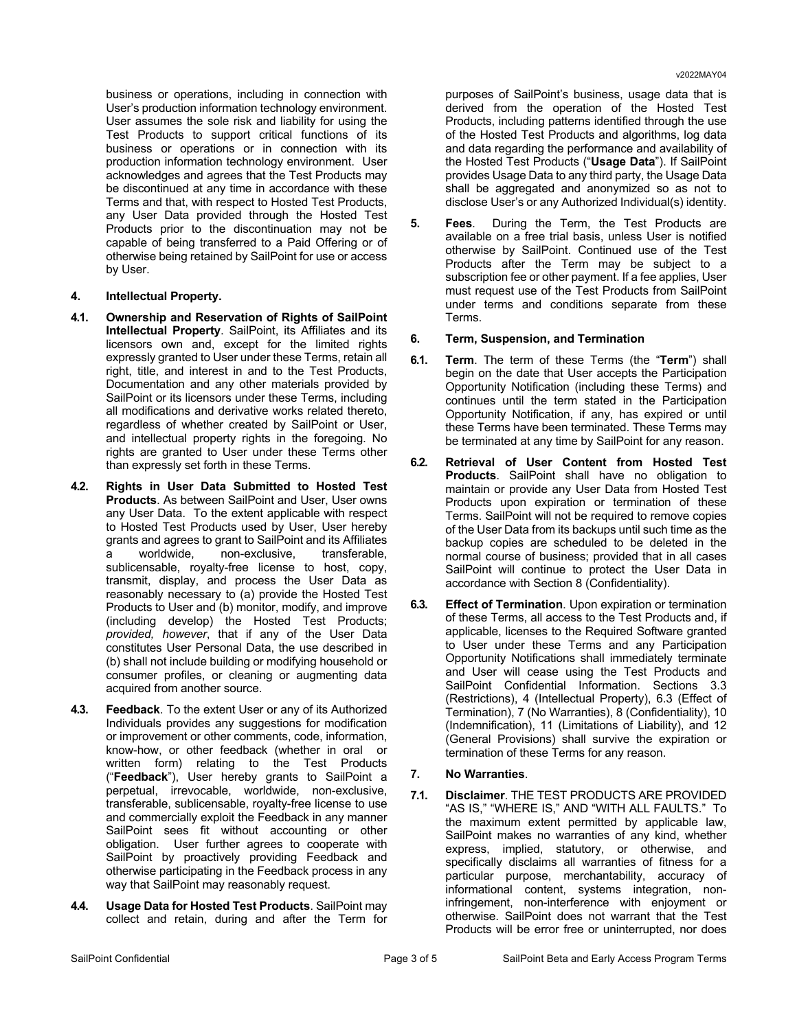business or operations, including in connection with User's production information technology environment. User assumes the sole risk and liability for using the Test Products to support critical functions of its business or operations or in connection with its production information technology environment. User acknowledges and agrees that the Test Products may be discontinued at any time in accordance with these Terms and that, with respect to Hosted Test Products, any User Data provided through the Hosted Test Products prior to the discontinuation may not be capable of being transferred to a Paid Offering or of otherwise being retained by SailPoint for use or access by User.

### **4. Intellectual Property.**

- **4.1. Ownership and Reservation of Rights of SailPoint Intellectual Property**. SailPoint, its Affiliates and its licensors own and, except for the limited rights expressly granted to User under these Terms, retain all right, title, and interest in and to the Test Products, Documentation and any other materials provided by SailPoint or its licensors under these Terms, including all modifications and derivative works related thereto, regardless of whether created by SailPoint or User, and intellectual property rights in the foregoing. No rights are granted to User under these Terms other than expressly set forth in these Terms.
- **4.2. Rights in User Data Submitted to Hosted Test Products**. As between SailPoint and User, User owns any User Data. To the extent applicable with respect to Hosted Test Products used by User, User hereby grants and agrees to grant to SailPoint and its Affiliates a worldwide, non-exclusive, transferable, sublicensable, royalty-free license to host, copy, transmit, display, and process the User Data as reasonably necessary to (a) provide the Hosted Test Products to User and (b) monitor, modify, and improve (including develop) the Hosted Test Products; *provided, however*, that if any of the User Data constitutes User Personal Data, the use described in (b) shall not include building or modifying household or consumer profiles, or cleaning or augmenting data acquired from another source.
- **4.3. Feedback**. To the extent User or any of its Authorized Individuals provides any suggestions for modification or improvement or other comments, code, information, know-how, or other feedback (whether in oral or written form) relating to the Test Products ("**Feedback**"), User hereby grants to SailPoint a perpetual, irrevocable, worldwide, non-exclusive, transferable, sublicensable, royalty-free license to use and commercially exploit the Feedback in any manner SailPoint sees fit without accounting or other obligation. User further agrees to cooperate with SailPoint by proactively providing Feedback and otherwise participating in the Feedback process in any way that SailPoint may reasonably request.
- **4.4. Usage Data for Hosted Test Products**. SailPoint may collect and retain, during and after the Term for

purposes of SailPoint's business, usage data that is derived from the operation of the Hosted Test Products, including patterns identified through the use of the Hosted Test Products and algorithms, log data and data regarding the performance and availability of the Hosted Test Products ("**Usage Data**"). If SailPoint provides Usage Data to any third party, the Usage Data shall be aggregated and anonymized so as not to disclose User's or any Authorized Individual(s) identity.

**5. Fees**.During the Term, the Test Products are available on a free trial basis, unless User is notified otherwise by SailPoint. Continued use of the Test Products after the Term may be subject to a subscription fee or other payment. If a fee applies, User must request use of the Test Products from SailPoint under terms and conditions separate from these Terms.

### **6. Term, Suspension, and Termination**

- **6.1. Term**. The term of these Terms (the "**Term**") shall begin on the date that User accepts the Participation Opportunity Notification (including these Terms) and continues until the term stated in the Participation Opportunity Notification, if any, has expired or until these Terms have been terminated. These Terms may be terminated at any time by SailPoint for any reason.
- **6.2. Retrieval of User Content from Hosted Test Products**. SailPoint shall have no obligation to maintain or provide any User Data from Hosted Test Products upon expiration or termination of these Terms. SailPoint will not be required to remove copies of the User Data from its backups until such time as the backup copies are scheduled to be deleted in the normal course of business; provided that in all cases SailPoint will continue to protect the User Data in accordance with Section 8 (Confidentiality).
- **6.3. Effect of Termination**. Upon expiration or termination of these Terms, all access to the Test Products and, if applicable, licenses to the Required Software granted to User under these Terms and any Participation Opportunity Notifications shall immediately terminate and User will cease using the Test Products and SailPoint Confidential Information. Sections 3.3 (Restrictions), 4 (Intellectual Property), 6.3 (Effect of Termination), 7 (No Warranties), 8 (Confidentiality), 10 (Indemnification), 11 (Limitations of Liability), and 12 (General Provisions) shall survive the expiration or termination of these Terms for any reason.

#### **7. No Warranties**.

**7.1. Disclaimer**. THE TEST PRODUCTS ARE PROVIDED "AS IS," "WHERE IS," AND "WITH ALL FAULTS." To the maximum extent permitted by applicable law, SailPoint makes no warranties of any kind, whether express, implied, statutory, or otherwise, and specifically disclaims all warranties of fitness for a particular purpose, merchantability, accuracy of informational content, systems integration, noninfringement, non-interference with enjoyment or otherwise. SailPoint does not warrant that the Test Products will be error free or uninterrupted, nor does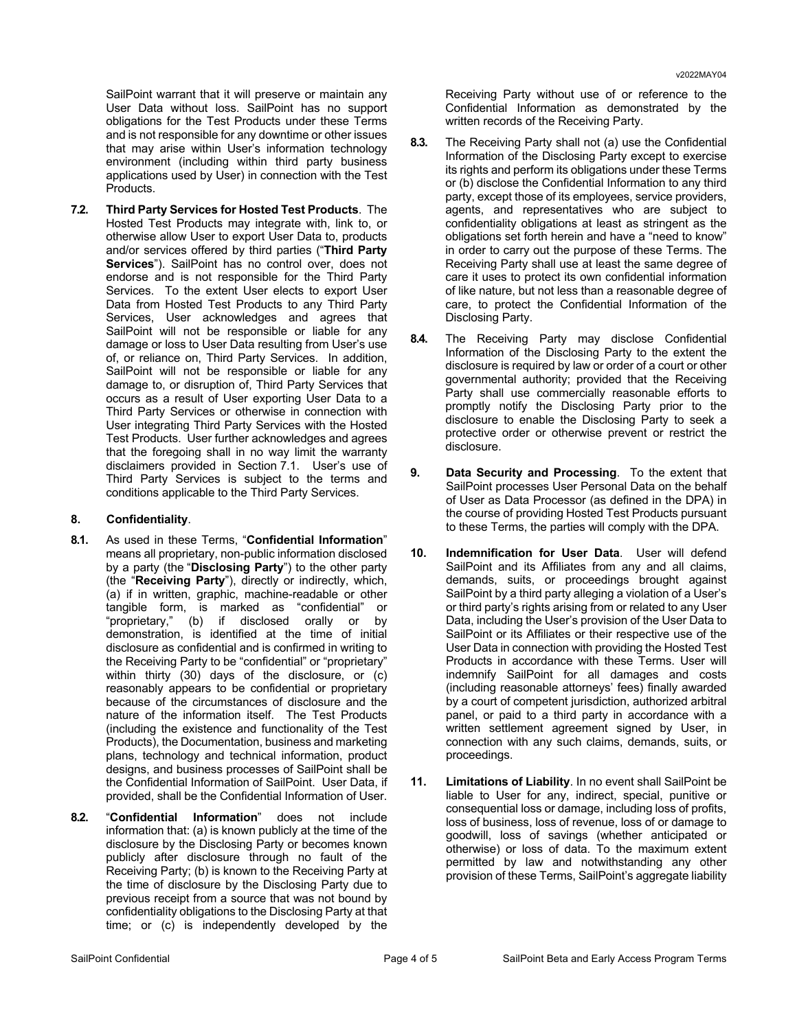SailPoint warrant that it will preserve or maintain any User Data without loss. SailPoint has no support obligations for the Test Products under these Terms and is not responsible for any downtime or other issues that may arise within User's information technology environment (including within third party business applications used by User) in connection with the Test Products.

**7.2. Third Party Services for Hosted Test Products**. The Hosted Test Products may integrate with, link to, or otherwise allow User to export User Data to, products and/or services offered by third parties ("**Third Party Services**"). SailPoint has no control over, does not endorse and is not responsible for the Third Party Services. To the extent User elects to export User Data from Hosted Test Products to any Third Party Services, User acknowledges and agrees that SailPoint will not be responsible or liable for any damage or loss to User Data resulting from User's use of, or reliance on, Third Party Services. In addition, SailPoint will not be responsible or liable for any damage to, or disruption of, Third Party Services that occurs as a result of User exporting User Data to a Third Party Services or otherwise in connection with User integrating Third Party Services with the Hosted Test Products. User further acknowledges and agrees that the foregoing shall in no way limit the warranty disclaimers provided in Section 7.1. User's use of Third Party Services is subject to the terms and conditions applicable to the Third Party Services.

#### **8. Confidentiality**.

- **8.1.** As used in these Terms, "**Confidential Information**" means all proprietary, non-public information disclosed by a party (the "**Disclosing Party**") to the other party (the "**Receiving Party**"), directly or indirectly, which, (a) if in written, graphic, machine-readable or other tangible form, is marked as "confidential" or "proprietary," (b) if disclosed orally or by demonstration, is identified at the time of initial disclosure as confidential and is confirmed in writing to the Receiving Party to be "confidential" or "proprietary" within thirty (30) days of the disclosure, or (c) reasonably appears to be confidential or proprietary because of the circumstances of disclosure and the nature of the information itself. The Test Products (including the existence and functionality of the Test Products), the Documentation, business and marketing plans, technology and technical information, product designs, and business processes of SailPoint shall be the Confidential Information of SailPoint. User Data, if provided, shall be the Confidential Information of User.
- **8.2.** "**Confidential Information**" does not include information that: (a) is known publicly at the time of the disclosure by the Disclosing Party or becomes known publicly after disclosure through no fault of the Receiving Party; (b) is known to the Receiving Party at the time of disclosure by the Disclosing Party due to previous receipt from a source that was not bound by confidentiality obligations to the Disclosing Party at that time; or (c) is independently developed by the

Receiving Party without use of or reference to the Confidential Information as demonstrated by the written records of the Receiving Party.

- **8.3.** The Receiving Party shall not (a) use the Confidential Information of the Disclosing Party except to exercise its rights and perform its obligations under these Terms or (b) disclose the Confidential Information to any third party, except those of its employees, service providers, agents, and representatives who are subject to confidentiality obligations at least as stringent as the obligations set forth herein and have a "need to know" in order to carry out the purpose of these Terms. The Receiving Party shall use at least the same degree of care it uses to protect its own confidential information of like nature, but not less than a reasonable degree of care, to protect the Confidential Information of the Disclosing Party.
- **8.4.** The Receiving Party may disclose Confidential Information of the Disclosing Party to the extent the disclosure is required by law or order of a court or other governmental authority; provided that the Receiving Party shall use commercially reasonable efforts to promptly notify the Disclosing Party prior to the disclosure to enable the Disclosing Party to seek a protective order or otherwise prevent or restrict the disclosure.
- **9. Data Security and Processing**. To the extent that SailPoint processes User Personal Data on the behalf of User as Data Processor (as defined in the DPA) in the course of providing Hosted Test Products pursuant to these Terms, the parties will comply with the DPA.
- **10. Indemnification for User Data**. User will defend SailPoint and its Affiliates from any and all claims, demands, suits, or proceedings brought against SailPoint by a third party alleging a violation of a User's or third party's rights arising from or related to any User Data, including the User's provision of the User Data to SailPoint or its Affiliates or their respective use of the User Data in connection with providing the Hosted Test Products in accordance with these Terms. User will indemnify SailPoint for all damages and costs (including reasonable attorneys' fees) finally awarded by a court of competent jurisdiction, authorized arbitral panel, or paid to a third party in accordance with a written settlement agreement signed by User, in connection with any such claims, demands, suits, or proceedings.
- **11. Limitations of Liability**. In no event shall SailPoint be liable to User for any, indirect, special, punitive or consequential loss or damage, including loss of profits, loss of business, loss of revenue, loss of or damage to goodwill, loss of savings (whether anticipated or otherwise) or loss of data. To the maximum extent permitted by law and notwithstanding any other provision of these Terms, SailPoint's aggregate liability